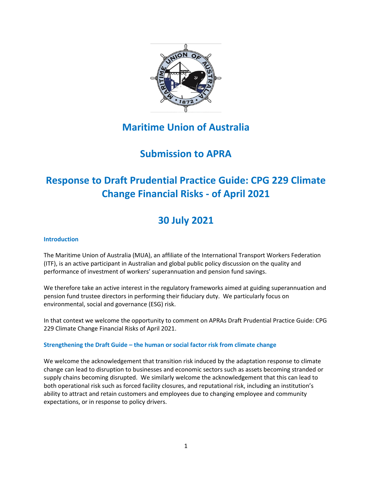

# **Maritime Union of Australia**

# **Submission to APRA**

# **Response to Draft Prudential Practice Guide: CPG 229 Climate Change Financial Risks - of April 2021**

# **30 July 2021**

## **Introduction**

The Maritime Union of Australia (MUA), an affiliate of the International Transport Workers Federation (ITF), is an active participant in Australian and global public policy discussion on the quality and performance of investment of workers' superannuation and pension fund savings.

We therefore take an active interest in the regulatory frameworks aimed at guiding superannuation and pension fund trustee directors in performing their fiduciary duty. We particularly focus on environmental, social and governance (ESG) risk.

In that context we welcome the opportunity to comment on APRAs Draft Prudential Practice Guide: CPG 229 Climate Change Financial Risks of April 2021.

# **Strengthening the Draft Guide – the human or social factor risk from climate change**

We welcome the acknowledgement that transition risk induced by the adaptation response to climate change can lead to disruption to businesses and economic sectors such as assets becoming stranded or supply chains becoming disrupted. We similarly welcome the acknowledgement that this can lead to both operational risk such as forced facility closures, and reputational risk, including an institution's ability to attract and retain customers and employees due to changing employee and community expectations, or in response to policy drivers.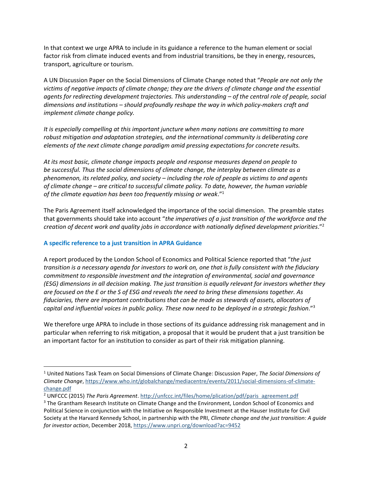In that context we urge APRA to include in its guidance a reference to the human element or social factor risk from climate induced events and from industrial transitions, be they in energy, resources, transport, agriculture or tourism.

A UN Discussion Paper on the Social Dimensions of Climate Change noted that "*People are not only the victims of negative impacts of climate change; they are the drivers of climate change and the essential agents for redirecting development trajectories. This understanding – of the central role of people, social dimensions and institutions – should profoundly reshape the way in which policy-makers craft and implement climate change policy.*

*It is especially compelling at this important juncture when many nations are committing to more robust mitigation and adaptation strategies, and the international community is deliberating core elements of the next climate change paradigm amid pressing expectations for concrete results.*

*At its most basic, climate change impacts people and response measures depend on people to be successful. Thus the social dimensions of climate change, the interplay between climate as a phenomenon, its related policy, and society – including the role of people as victims to and agents of climate change – are critical to successful climate policy. To date, however, the human variable of the climate equation has been too frequently missing or weak*." 1

The Paris Agreement itself acknowledged the importance of the social dimension. The preamble states that governments should take into account "*the imperatives of a just transition of the workforce and the creation of decent work and quality jobs in accordance with nationally defined development priorities*." 2

### **A specific reference to a just transition in APRA Guidance**

A report produced by the London School of Economics and Political Science reported that "*the just transition is a necessary agenda for investors to work on, one that is fully consistent with the fiduciary commitment to responsible investment and the integration of environmental, social and governance (ESG) dimensions in all decision making. The just transition is equally relevant for investors whether they are focused on the E or the S of ESG and reveals the need to bring these dimensions together. As fiduciaries, there are important contributions that can be made as stewards of assets, allocators of capital and influential voices in public policy. These now need to be deployed in a strategic fashion*."<sup>3</sup>

We therefore urge APRA to include in those sections of its guidance addressing risk management and in particular when referring to risk mitigation, a proposal that it would be prudent that a just transition be an important factor for an institution to consider as part of their risk mitigation planning.

<sup>1</sup> United Nations Task Team on Social Dimensions of Climate Change: Discussion Paper, *The Social Dimensions of Climate Change*, https://www.who.int/globalchange/mediacentre/events/2011/social-dimensions-of-climatechange.pdf

<sup>2</sup> UNFCCC (2015) *The Paris Agreement*. http://unfccc.int/files/home/plication/pdf/paris agreement.pdf

<sup>&</sup>lt;sup>3</sup> The Grantham Research Institute on Climate Change and the Environment, London School of Economics and Political Science in conjunction with the Initiative on Responsible Investment at the Hauser Institute for Civil Society at the Harvard Kennedy School, in partnership with the PRI, *Climate change and the just transition: A guide for investor action*, December 2018, https://www.unpri.org/download?ac=9452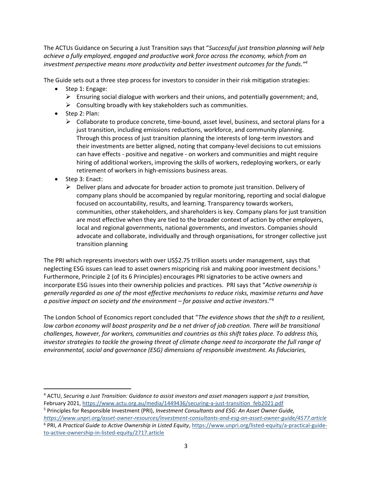The ACTUs Guidance on Securing a Just Transition says that "*Successful just transition planning will help achieve a fully employed, engaged and productive work force across the economy, which from an investment perspective means more productivity and better investment outcomes for the funds."<sup>4</sup>*

The Guide sets out a three step process for investors to consider in their risk mitigation strategies:

- Step 1: Engage:
	- $\triangleright$  Ensuring social dialogue with workers and their unions, and potentially government; and,
	- $\triangleright$  Consulting broadly with key stakeholders such as communities.
- Step 2: Plan:
	- $\triangleright$  Collaborate to produce concrete, time-bound, asset level, business, and sectoral plans for a just transition, including emissions reductions, workforce, and community planning. Through this process of just transition planning the interests of long-term investors and their investments are better aligned, noting that company-level decisions to cut emissions can have effects - positive and negative - on workers and communities and might require hiring of additional workers, improving the skills of workers, redeploying workers, or early retirement of workers in high-emissions business areas.
- Step 3: Enact:
	- $\triangleright$  Deliver plans and advocate for broader action to promote just transition. Delivery of company plans should be accompanied by regular monitoring, reporting and social dialogue focused on accountability, results, and learning. Transparency towards workers, communities, other stakeholders, and shareholders is key. Company plans for just transition are most effective when they are tied to the broader context of action by other employers, local and regional governments, national governments, and investors. Companies should advocate and collaborate, individually and through organisations, for stronger collective just transition planning

The PRI which represents investors with over US\$2.75 trillion assets under management, says that neglecting ESG issues can lead to asset owners mispricing risk and making poor investment decisions.<sup>5</sup> Furthermore, Principle 2 (of its 6 Principles) encourages PRI signatories to be active owners and incorporate ESG issues into their ownership policies and practices. PRI says that "*Active ownership is generally regarded as one of the most effective mechanisms to reduce risks, maximise returns and have a positive impact on society and the environment – for passive and active investors*." 6

The London School of Economics report concluded that "*The evidence shows that the shift to a resilient, low carbon economy will boost prosperity and be a net driver of job creation. There will be transitional challenges, however, for workers, communities and countries as this shift takes place. To address this, investor strategies to tackle the growing threat of climate change need to incorporate the full range of environmental, social and governance (ESG) dimensions of responsible investment. As fiduciaries,* 

<sup>4</sup> ACTU, *Securing a Just Transition: Guidance to assist investors and asset managers support a just transition,* February 2021, https://www.actu.org.au/media/1449436/securing-a-just-transition feb2021.pdf

<sup>5</sup> Principles for Responsible Investment (PRI), *Investment Consultants and ESG: An Asset Owner Guide, https://www.unpri.org/asset-owner-resources/investment-consultants-and-esg-an-asset-owner-guide/4577.article* <sup>6</sup> PRI, *A Practical Guide to Active Ownership in Listed Equity*, https://www.unpri.org/listed-equity/a-practical-guideto-active-ownership-in-listed-equity/2717.article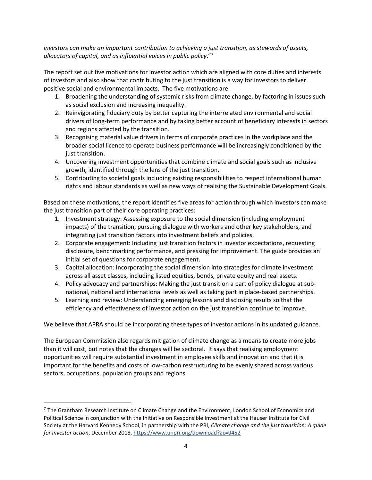*investors can make an important contribution to achieving a just transition, as stewards of assets, allocators of capital, and as influential voices in public policy*."<sup>7</sup>

The report set out five motivations for investor action which are aligned with core duties and interests of investors and also show that contributing to the just transition is a way for investors to deliver positive social and environmental impacts. The five motivations are:

- 1. Broadening the understanding of systemic risks from climate change, by factoring in issues such as social exclusion and increasing inequality.
- 2. Reinvigorating fiduciary duty by better capturing the interrelated environmental and social drivers of long-term performance and by taking better account of beneficiary interests in sectors and regions affected by the transition.
- 3. Recognising material value drivers in terms of corporate practices in the workplace and the broader social licence to operate business performance will be increasingly conditioned by the just transition.
- 4. Uncovering investment opportunities that combine climate and social goals such as inclusive growth, identified through the lens of the just transition.
- 5. Contributing to societal goals including existing responsibilities to respect international human rights and labour standards as well as new ways of realising the Sustainable Development Goals.

Based on these motivations, the report identifies five areas for action through which investors can make the just transition part of their core operating practices:

- 1. Investment strategy: Assessing exposure to the social dimension (including employment impacts) of the transition, pursuing dialogue with workers and other key stakeholders, and integrating just transition factors into investment beliefs and policies.
- 2. Corporate engagement: Including just transition factors in investor expectations, requesting disclosure, benchmarking performance, and pressing for improvement. The guide provides an initial set of questions for corporate engagement.
- 3. Capital allocation: Incorporating the social dimension into strategies for climate investment across all asset classes, including listed equities, bonds, private equity and real assets.
- 4. Policy advocacy and partnerships: Making the just transition a part of policy dialogue at subnational, national and international levels as well as taking part in place-based partnerships.
- 5. Learning and review: Understanding emerging lessons and disclosing results so that the efficiency and effectiveness of investor action on the just transition continue to improve.

We believe that APRA should be incorporating these types of investor actions in its updated guidance.

The European Commission also regards mitigation of climate change as a means to create more jobs than it will cost, but notes that the changes will be sectoral. It says that realising employment opportunities will require substantial investment in employee skills and innovation and that it is important for the benefits and costs of low-carbon restructuring to be evenly shared across various sectors, occupations, population groups and regions.

<sup>&</sup>lt;sup>7</sup> The Grantham Research Institute on Climate Change and the Environment, London School of Economics and Political Science in conjunction with the Initiative on Responsible Investment at the Hauser Institute for Civil Society at the Harvard Kennedy School, in partnership with the PRI, *Climate change and the just transition: A guide for investor action*, December 2018, https://www.unpri.org/download?ac=9452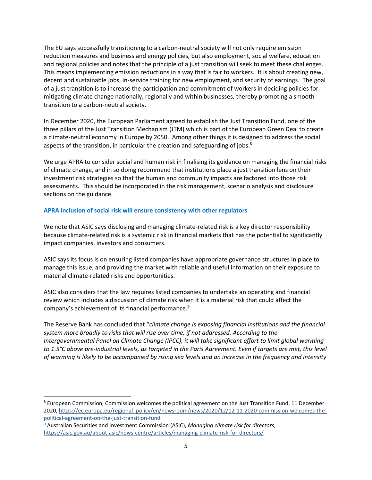The EU says successfully transitioning to a carbon-neutral society will not only require emission reduction measures and business and energy policies, but also employment, social welfare, education and regional policies and notes that the principle of a just transition will seek to meet these challenges. This means implementing emission reductions in a way that is fair to workers. It is about creating new, decent and sustainable jobs, in-service training for new employment, and security of earnings. The goal of a just transition is to increase the participation and commitment of workers in deciding policies for mitigating climate change nationally, regionally and within businesses, thereby promoting a smooth transition to a carbon-neutral society.

In December 2020, the European Parliament agreed to establish the Just Transition Fund, one of the three pillars of the Just Transition Mechanism (JTM) which is part of the European Green Deal to create a climate-neutral economy in Europe by 2050. Among other things it is designed to address the social aspects of the transition, in particular the creation and safeguarding of jobs.<sup>8</sup>

We urge APRA to consider social and human risk in finalising its guidance on managing the financial risks of climate change, and in so doing recommend that institutions place a just transition lens on their investment risk strategies so that the human and community impacts are factored into those risk assessments. This should be incorporated in the risk management, scenario analysis and disclosure sections on the guidance.

## **APRA inclusion of social risk will ensure consistency with other regulators**

We note that ASIC says disclosing and managing climate-related risk is a key director responsibility because climate-related risk is a systemic risk in financial markets that has the potential to significantly impact companies, investors and consumers.

ASIC says its focus is on ensuring listed companies have appropriate governance structures in place to manage this issue, and providing the market with reliable and useful information on their exposure to material climate-related risks and opportunities.

ASIC also considers that the law requires listed companies to undertake an operating and financial review which includes a discussion of climate risk when it is a material risk that could affect the company's achievement of its financial performance.<sup>9</sup>

The Reserve Bank has concluded that "*climate change is exposing financial institutions and the financial system more broadly to risks that will rise over time, if not addressed. According to the Intergovernmental Panel on Climate Change (IPCC), it will take significant effort to limit global warming to 1.5°C above pre-industrial levels, as targeted in the Paris Agreement. Even if targets are met, this level of warming is likely to be accompanied by rising sea levels and an increase in the frequency and intensity* 

<sup>&</sup>lt;sup>8</sup> European Commission, Commission welcomes the political agreement on the Just Transition Fund, 11 December 2020, https://ec.europa.eu/regional policy/en/newsroom/news/2020/12/12-11-2020-commission-welcomes-thepolitical-agreement-on-the-just-transition-fund

<sup>9</sup> Australian Securities and Investment Commission (ASIC), *Managing climate risk for directors*, https://asic.gov.au/about-asic/news-centre/articles/managing-climate-risk-for-directors/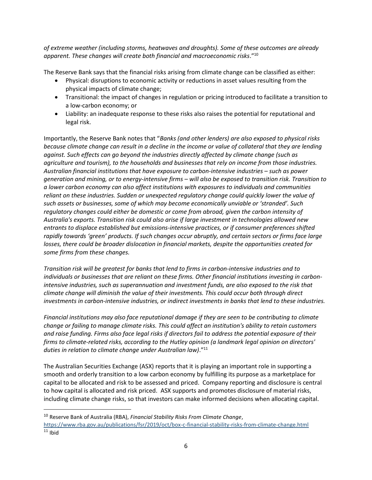*of extreme weather (including storms, heatwaves and droughts). Some of these outcomes are already apparent. These changes will create both financial and macroeconomic risks*." 10

The Reserve Bank says that the financial risks arising from climate change can be classified as either:

- Physical: disruptions to economic activity or reductions in asset values resulting from the physical impacts of climate change;
- Transitional: the impact of changes in regulation or pricing introduced to facilitate a transition to a low-carbon economy; or
- Liability: an inadequate response to these risks also raises the potential for reputational and legal risk.

Importantly, the Reserve Bank notes that "*Banks (and other lenders) are also exposed to physical risks because climate change can result in a decline in the income or value of collateral that they are lending against. Such effects can go beyond the industries directly affected by climate change (such as agriculture and tourism), to the households and businesses that rely on income from those industries. Australian financial institutions that have exposure to carbon-intensive industries – such as power generation and mining, or to energy-intensive firms – will also be exposed to transition risk. Transition to a lower carbon economy can also affect institutions with exposures to individuals and communities reliant on these industries. Sudden or unexpected regulatory change could quickly lower the value of such assets or businesses, some of which may become economically unviable or 'stranded'. Such regulatory changes could either be domestic or come from abroad, given the carbon intensity of Australia's exports. Transition risk could also arise if large investment in technologies allowed new entrants to displace established but emissions-intensive practices, or if consumer preferences shifted rapidly towards 'green' products. If such changes occur abruptly, and certain sectors or firms face large losses, there could be broader dislocation in financial markets, despite the opportunities created for some firms from these changes.*

*Transition risk will be greatest for banks that lend to firms in carbon-intensive industries and to individuals or businesses that are reliant on these firms. Other financial institutions investing in carbonintensive industries, such as superannuation and investment funds, are also exposed to the risk that climate change will diminish the value of their investments. This could occur both through direct investments in carbon-intensive industries, or indirect investments in banks that lend to these industries.*

*Financial institutions may also face reputational damage if they are seen to be contributing to climate change or failing to manage climate risks. This could affect an institution's ability to retain customers and raise funding. Firms also face legal risks if directors fail to address the potential exposure of their firms to climate-related risks, according to the Hutley opinion (a landmark legal opinion on directors' duties in relation to climate change under Australian law)*."<sup>11</sup>

The Australian Securities Exchange (ASX) reports that it is playing an important role in supporting a smooth and orderly transition to a low carbon economy by fulfilling its purpose as a marketplace for capital to be allocated and risk to be assessed and priced. Company reporting and disclosure is central to how capital is allocated and risk priced. ASX supports and promotes disclosure of material risks, including climate change risks, so that investors can make informed decisions when allocating capital.

<sup>10</sup> Reserve Bank of Australia (RBA), *Financial Stability Risks From Climate Change*,

https://www.rba.gov.au/publications/fsr/2019/oct/box-c-financial-stability-risks-from-climate-change.html  $11$  Ibid